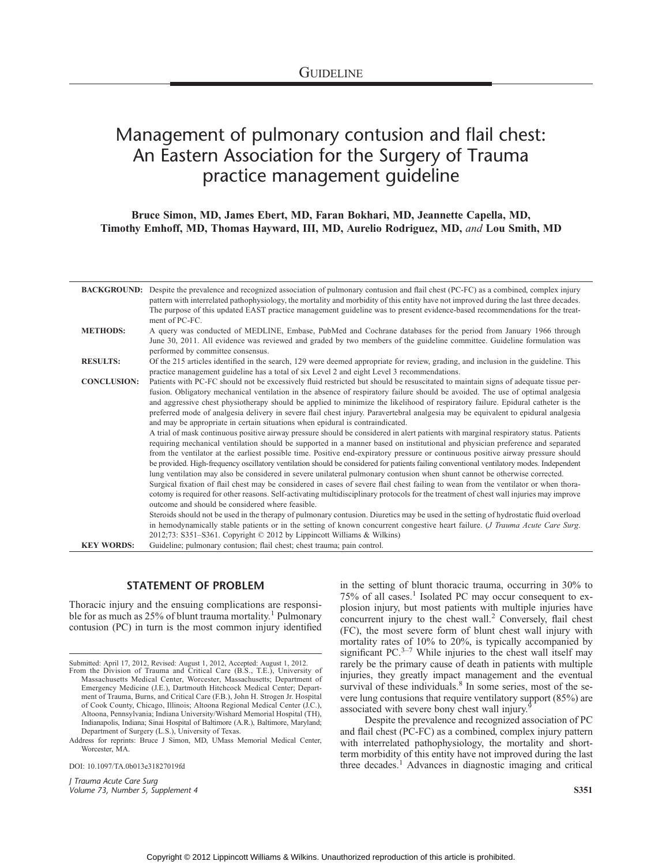# Management of pulmonary contusion and flail chest: An Eastern Association for the Surgery of Trauma practice management guideline

Bruce Simon, MD, James Ebert, MD, Faran Bokhari, MD, Jeannette Capella, MD, Timothy Emhoff, MD, Thomas Hayward, III, MD, Aurelio Rodriguez, MD, and Lou Smith, MD

BACKGROUND: Despite the prevalence and recognized association of pulmonary contusion and flail chest (PC-FC) as a combined, complex injury pattern with interrelated pathophysiology, the mortality and morbidity of this entity have not improved during the last three decades. The purpose of this updated EAST practice management guideline was to present evidence-based recommendations for the treatment of PC-FC. METHODS: A query was conducted of MEDLINE, Embase, PubMed and Cochrane databases for the period from January 1966 through June 30, 2011. All evidence was reviewed and graded by two members of the guideline committee. Guideline formulation was performed by committee consensus. RESULTS: Of the 215 articles identified in the search, 129 were deemed appropriate for review, grading, and inclusion in the guideline. This practice management guideline has a total of six Level 2 and eight Level 3 recommendations. CONCLUSION: Patients with PC-FC should not be excessively fluid restricted but should be resuscitated to maintain signs of adequate tissue perfusion. Obligatory mechanical ventilation in the absence of respiratory failure should be avoided. The use of optimal analgesia and aggressive chest physiotherapy should be applied to minimize the likelihood of respiratory failure. Epidural catheter is the preferred mode of analgesia delivery in severe flail chest injury. Paravertebral analgesia may be equivalent to epidural analgesia and may be appropriate in certain situations when epidural is contraindicated. A trial of mask continuous positive airway pressure should be considered in alert patients with marginal respiratory status. Patients requiring mechanical ventilation should be supported in a manner based on institutional and physician preference and separated from the ventilator at the earliest possible time. Positive end-expiratory pressure or continuous positive airway pressure should be provided. High-frequency oscillatory ventilation should be considered for patients failing conventional ventilatory modes. Independent lung ventilation may also be considered in severe unilateral pulmonary contusion when shunt cannot be otherwise corrected. Surgical fixation of flail chest may be considered in cases of severe flail chest failing to wean from the ventilator or when thoracotomy is required for other reasons. Self-activating multidisciplinary protocols for the treatment of chest wall injuries may improve outcome and should be considered where feasible. Steroids should not be used in the therapy of pulmonary contusion. Diuretics may be used in the setting of hydrostatic fluid overload in hemodynamically stable patients or in the setting of known concurrent congestive heart failure. (*J Trauma Acute Care Surg*. 2012;73: S351-S361. Copyright © 2012 by Lippincott Williams & Wilkins) KEY WORDS: Guideline; pulmonary contusion; flail chest; chest trauma; pain control.

## STATEMENT OF PROBLEM

Thoracic injury and the ensuing complications are responsible for as much as  $25\%$  of blunt trauma mortality.<sup>1</sup> Pulmonary contusion (PC) in turn is the most common injury identified

DOI: 10.1097/TA.0b013e31827019fd

J Trauma Acute Care Surg Volume 73, Number 5, Supplement 4 S351

in the setting of blunt thoracic trauma, occurring in 30% to 75% of all cases.<sup>1</sup> Isolated PC may occur consequent to explosion injury, but most patients with multiple injuries have concurrent injury to the chest wall.<sup>2</sup> Conversely, flail chest (FC), the most severe form of blunt chest wall injury with mortality rates of 10% to 20%, is typically accompanied by significant PC. $3-7$  While injuries to the chest wall itself may rarely be the primary cause of death in patients with multiple injuries, they greatly impact management and the eventual survival of these individuals.<sup>8</sup> In some series, most of the severe lung contusions that require ventilatory support (85%) are associated with severe bony chest wall injury.<sup>9</sup>

Despite the prevalence and recognized association of PC and flail chest (PC-FC) as a combined, complex injury pattern with interrelated pathophysiology, the mortality and shortterm morbidity of this entity have not improved during the last three decades.<sup>1</sup> Advances in diagnostic imaging and critical

Submitted: April 17, 2012, Revised: August 1, 2012, Accepted: August 1, 2012.

From the Division of Trauma and Critical Care (B.S., T.E.), University of Massachusetts Medical Center, Worcester, Massachusetts; Department of Emergency Medicine (J.E.), Dartmouth Hitchcock Medical Center; Department of Trauma, Burns, and Critical Care (F.B.), John H. Strogen Jr. Hospital of Cook County, Chicago, Illinois; Altoona Regional Medical Center (J.C.), Altoona, Pennsylvania; Indiana University/Wishard Memorial Hospital (TH), Indianapolis, Indiana; Sinai Hospital of Baltimore (A.R.), Baltimore, Maryland; Department of Surgery (L.S.), University of Texas.

Address for reprints: Bruce J Simon, MD, UMass Memorial Medical Center, Worcester, MA.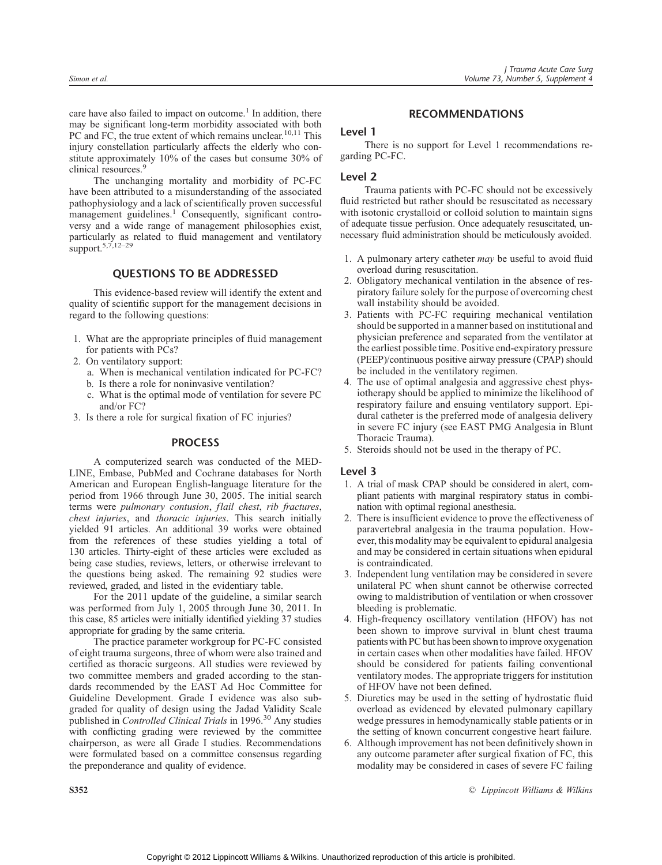care have also failed to impact on outcome.<sup>1</sup> In addition, there may be significant long-term morbidity associated with both PC and FC, the true extent of which remains unclear.<sup>10,11</sup> This injury constellation particularly affects the elderly who constitute approximately 10% of the cases but consume 30% of clinical resources.<sup>9</sup>

The unchanging mortality and morbidity of PC-FC have been attributed to a misunderstanding of the associated pathophysiology and a lack of scientifically proven successful management guidelines.<sup>1</sup> Consequently, significant controversy and a wide range of management philosophies exist, particularly as related to fluid management and ventilatory support.<sup>5,7,12-29</sup>

## QUESTIONS TO BE ADDRESSED

This evidence-based review will identify the extent and quality of scientific support for the management decisions in regard to the following questions:

- 1. What are the appropriate principles of fluid management for patients with PCs?
- 2. On ventilatory support:
	- a. When is mechanical ventilation indicated for PC-FC?
	- b. Is there a role for noninvasive ventilation?
	- c. What is the optimal mode of ventilation for severe PC and/or FC?
- 3. Is there a role for surgical fixation of FC injuries?

## PROCESS

A computerized search was conducted of the MED-LINE, Embase, PubMed and Cochrane databases for North American and European English-language literature for the period from 1966 through June 30, 2005. The initial search terms were pulmonary contusion, flail chest, rib fractures, chest injuries, and thoracic injuries. This search initially yielded 91 articles. An additional 39 works were obtained from the references of these studies yielding a total of 130 articles. Thirty-eight of these articles were excluded as being case studies, reviews, letters, or otherwise irrelevant to the questions being asked. The remaining 92 studies were reviewed, graded, and listed in the evidentiary table.

For the 2011 update of the guideline, a similar search was performed from July 1, 2005 through June 30, 2011. In this case, 85 articles were initially identified yielding 37 studies appropriate for grading by the same criteria.

The practice parameter workgroup for PC-FC consisted of eight trauma surgeons, three of whom were also trained and certified as thoracic surgeons. All studies were reviewed by two committee members and graded according to the standards recommended by the EAST Ad Hoc Committee for Guideline Development. Grade I evidence was also subgraded for quality of design using the Jadad Validity Scale published in *Controlled Clinical Trials* in 1996.<sup>30</sup> Any studies with conflicting grading were reviewed by the committee chairperson, as were all Grade I studies. Recommendations were formulated based on a committee consensus regarding the preponderance and quality of evidence.

## RECOMMENDATIONS

#### Level 1

There is no support for Level 1 recommendations regarding PC-FC.

## Level 2

Trauma patients with PC-FC should not be excessively fluid restricted but rather should be resuscitated as necessary with isotonic crystalloid or colloid solution to maintain signs of adequate tissue perfusion. Once adequately resuscitated, unnecessary fluid administration should be meticulously avoided.

- 1. A pulmonary artery catheter may be useful to avoid fluid overload during resuscitation.
- 2. Obligatory mechanical ventilation in the absence of respiratory failure solely for the purpose of overcoming chest wall instability should be avoided.
- 3. Patients with PC-FC requiring mechanical ventilation should be supported in a manner based on institutional and physician preference and separated from the ventilator at the earliest possible time. Positive end-expiratory pressure (PEEP)/continuous positive airway pressure (CPAP) should be included in the ventilatory regimen.
- 4. The use of optimal analgesia and aggressive chest physiotherapy should be applied to minimize the likelihood of respiratory failure and ensuing ventilatory support. Epidural catheter is the preferred mode of analgesia delivery in severe FC injury (see EAST PMG Analgesia in Blunt Thoracic Trauma).
- 5. Steroids should not be used in the therapy of PC.

#### Level 3

- 1. A trial of mask CPAP should be considered in alert, compliant patients with marginal respiratory status in combination with optimal regional anesthesia.
- 2. There is insufficient evidence to prove the effectiveness of paravertebral analgesia in the trauma population. However, this modality may be equivalent to epidural analgesia and may be considered in certain situations when epidural is contraindicated.
- 3. Independent lung ventilation may be considered in severe unilateral PC when shunt cannot be otherwise corrected owing to maldistribution of ventilation or when crossover bleeding is problematic.
- 4. High-frequency oscillatory ventilation (HFOV) has not been shown to improve survival in blunt chest trauma patients with PC but has been shown to improve oxygenation in certain cases when other modalities have failed. HFOV should be considered for patients failing conventional ventilatory modes. The appropriate triggers for institution of HFOV have not been defined.
- 5. Diuretics may be used in the setting of hydrostatic fluid overload as evidenced by elevated pulmonary capillary wedge pressures in hemodynamically stable patients or in the setting of known concurrent congestive heart failure.
- 6. Although improvement has not been definitively shown in any outcome parameter after surgical fixation of FC, this modality may be considered in cases of severe FC failing

S352 **S352 S352 S362 S362** *C Lippincott Williams & Wilkins C Lippincott Williams & Wilkins*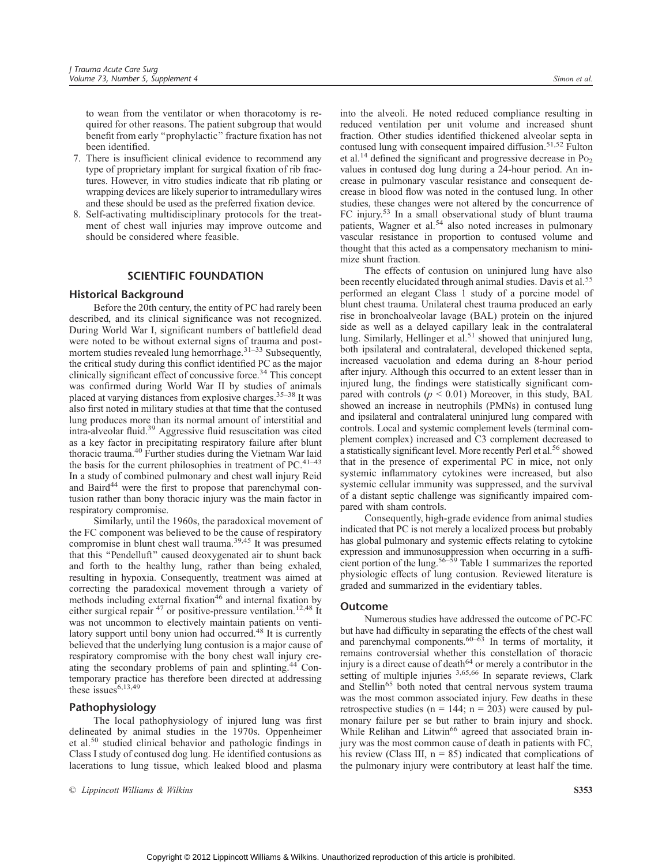to wean from the ventilator or when thoracotomy is required for other reasons. The patient subgroup that would benefit from early ''prophylactic'' fracture fixation has not been identified.

- 7. There is insufficient clinical evidence to recommend any type of proprietary implant for surgical fixation of rib fractures. However, in vitro studies indicate that rib plating or wrapping devices are likely superior to intramedullary wires and these should be used as the preferred fixation device.
- 8. Self-activating multidisciplinary protocols for the treatment of chest wall injuries may improve outcome and should be considered where feasible.

#### SCIENTIFIC FOUNDATION

#### Historical Background

Before the 20th century, the entity of PC had rarely been described, and its clinical significance was not recognized. During World War I, significant numbers of battlefield dead were noted to be without external signs of trauma and postmortem studies revealed lung hemorrhage.<sup>31-33</sup> Subsequently, the critical study during this conflict identified PC as the major clinically significant effect of concussive force.<sup>34</sup> This concept was confirmed during World War II by studies of animals placed at varying distances from explosive charges.<sup>35-38</sup> It was also first noted in military studies at that time that the contused lung produces more than its normal amount of interstitial and intra-alveolar fluid.39 Aggressive fluid resuscitation was cited as a key factor in precipitating respiratory failure after blunt thoracic trauma.<sup>40</sup> Further studies during the Vietnam War laid the basis for the current philosophies in treatment of  $PC^{41-43}$ In a study of combined pulmonary and chest wall injury Reid and Baird<sup>44</sup> were the first to propose that parenchymal contusion rather than bony thoracic injury was the main factor in respiratory compromise.

Similarly, until the 1960s, the paradoxical movement of the FC component was believed to be the cause of respiratory compromise in blunt chest wall trauma.39,45 It was presumed that this ''Pendelluft'' caused deoxygenated air to shunt back and forth to the healthy lung, rather than being exhaled, resulting in hypoxia. Consequently, treatment was aimed at correcting the paradoxical movement through a variety of methods including external fixation<sup>46</sup> and internal fixation by either surgical repair  $47$  or positive-pressure ventilation.<sup>12,48</sup> It was not uncommon to electively maintain patients on ventilatory support until bony union had occurred.<sup>48</sup> It is currently believed that the underlying lung contusion is a major cause of respiratory compromise with the bony chest wall injury creating the secondary problems of pain and splinting.<sup>44</sup> Contemporary practice has therefore been directed at addressing these issues $6,13,49$ 

## Pathophysiology

The local pathophysiology of injured lung was first delineated by animal studies in the 1970s. Oppenheimer et al.<sup>50</sup> studied clinical behavior and pathologic findings in Class I study of contused dog lung. He identified contusions as lacerations to lung tissue, which leaked blood and plasma into the alveoli. He noted reduced compliance resulting in reduced ventilation per unit volume and increased shunt fraction. Other studies identified thickened alveolar septa in contused lung with consequent impaired diffusion.<sup>51,52</sup> Fulton et al.<sup>14</sup> defined the significant and progressive decrease in  $Po<sub>2</sub>$ values in contused dog lung during a 24-hour period. An increase in pulmonary vascular resistance and consequent decrease in blood flow was noted in the contused lung. In other studies, these changes were not altered by the concurrence of FC injury.<sup>53</sup> In a small observational study of blunt trauma patients, Wagner et al.<sup>54</sup> also noted increases in pulmonary vascular resistance in proportion to contused volume and thought that this acted as a compensatory mechanism to minimize shunt fraction.

The effects of contusion on uninjured lung have also been recently elucidated through animal studies. Davis et al.<sup>55</sup> performed an elegant Class 1 study of a porcine model of blunt chest trauma. Unilateral chest trauma produced an early rise in bronchoalveolar lavage (BAL) protein on the injured side as well as a delayed capillary leak in the contralateral lung. Similarly, Hellinger et al.<sup>51</sup> showed that uninjured lung, both ipsilateral and contralateral, developed thickened septa, increased vacuolation and edema during an 8-hour period after injury. Although this occurred to an extent lesser than in injured lung, the findings were statistically significant compared with controls ( $p \le 0.01$ ) Moreover, in this study, BAL showed an increase in neutrophils (PMNs) in contused lung and ipsilateral and contralateral uninjured lung compared with controls. Local and systemic complement levels (terminal complement complex) increased and C3 complement decreased to a statistically significant level. More recently Perl et al.<sup>56</sup> showed that in the presence of experimental PC in mice, not only systemic inflammatory cytokines were increased, but also systemic cellular immunity was suppressed, and the survival of a distant septic challenge was significantly impaired compared with sham controls.

Consequently, high-grade evidence from animal studies indicated that PC is not merely a localized process but probably has global pulmonary and systemic effects relating to cytokine expression and immunosuppression when occurring in a sufficient portion of the lung.<sup>56-59</sup> Table 1 summarizes the reported physiologic effects of lung contusion. Reviewed literature is graded and summarized in the evidentiary tables.

#### Outcome

Numerous studies have addressed the outcome of PC-FC but have had difficulty in separating the effects of the chest wall<br>and parenchymal components.<sup>60–63</sup> In terms of mortality, it remains controversial whether this constellation of thoracic injury is a direct cause of death<sup>64</sup> or merely a contributor in the setting of multiple injuries <sup>3,65,66</sup> In separate reviews, Clark and Stellin<sup>65</sup> both noted that central nervous system trauma was the most common associated injury. Few deaths in these retrospective studies ( $n = 144$ ;  $n = 203$ ) were caused by pulmonary failure per se but rather to brain injury and shock. While Relihan and Litwin<sup>66</sup> agreed that associated brain injury was the most common cause of death in patients with FC, his review (Class III,  $n = 85$ ) indicated that complications of the pulmonary injury were contributory at least half the time.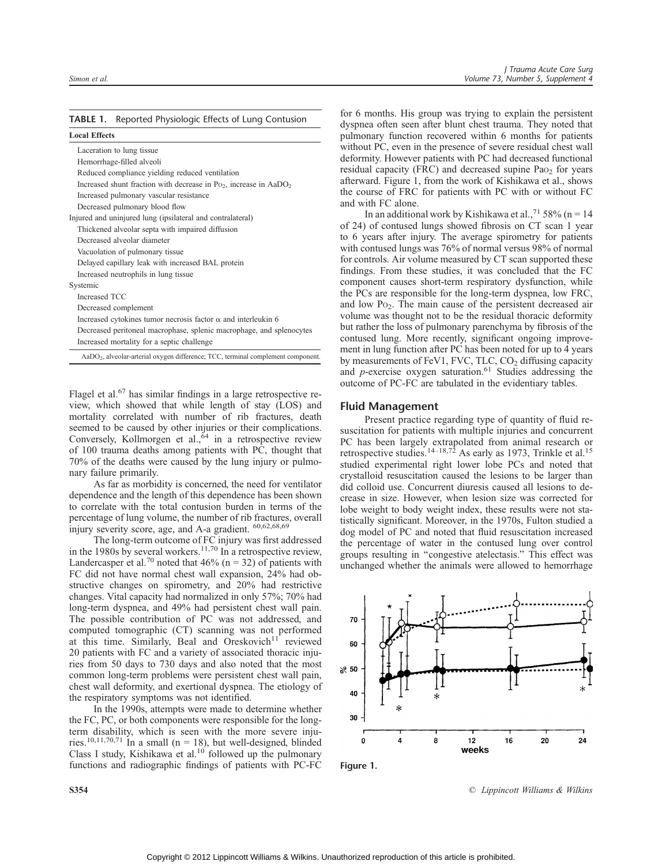## TABLE 1. Reported Physiologic Effects of Lung Contusion

### Local Effects

| Laceration to lung tissue                                                                   |
|---------------------------------------------------------------------------------------------|
| Hemorrhage-filled alveoli                                                                   |
| Reduced compliance yielding reduced ventilation                                             |
| Increased shunt fraction with decrease in $Po_2$ , increase in $AaDO_2$                     |
| Increased pulmonary vascular resistance                                                     |
| Decreased pulmonary blood flow                                                              |
| Injured and uninjured lung (ipsilateral and contralateral)                                  |
| Thickened alveolar septa with impaired diffusion                                            |
| Decreased alveolar diameter                                                                 |
| Vacuolation of pulmonary tissue                                                             |
| Delayed capillary leak with increased BAL protein                                           |
| Increased neutrophils in lung tissue                                                        |
| Systemic                                                                                    |
| Increased TCC                                                                               |
| Decreased complement                                                                        |
| Increased cytokines tumor necrosis factor $\alpha$ and interleukin 6                        |
| Decreased peritoneal macrophase, splenic macrophage, and splenocytes                        |
| Increased mortality for a septic challenge                                                  |
| AaDO <sub>2</sub> , alveolar-arterial oxygen difference; TCC, terminal complement component |

Flagel et al.<sup>67</sup> has similar findings in a large retrospective review, which showed that while length of stay (LOS) and mortality correlated with number of rib fractures, death seemed to be caused by other injuries or their complications. Conversely, Kollmorgen et al., $64$  in a retrospective review of 100 trauma deaths among patients with PC, thought that 70% of the deaths were caused by the lung injury or pulmonary failure primarily.

As far as morbidity is concerned, the need for ventilator dependence and the length of this dependence has been shown to correlate with the total contusion burden in terms of the percentage of lung volume, the number of rib fractures, overall injury severity score, age, and A-a gradient. 60,62,68,69

The long-term outcome of FC injury was first addressed in the 1980s by several workers.<sup>11,70</sup> In a retrospective review, Landercasper et al.<sup>70</sup> noted that 46% ( $n = 32$ ) of patients with FC did not have normal chest wall expansion, 24% had obstructive changes on spirometry, and 20% had restrictive changes. Vital capacity had normalized in only 57%; 70% had long-term dyspnea, and 49% had persistent chest wall pain. The possible contribution of PC was not addressed, and computed tomographic (CT) scanning was not performed at this time. Similarly, Beal and Oreskovich<sup>11</sup> reviewed 20 patients with FC and a variety of associated thoracic injuries from 50 days to 730 days and also noted that the most common long-term problems were persistent chest wall pain, chest wall deformity, and exertional dyspnea. The etiology of the respiratory symptoms was not identified.

In the 1990s, attempts were made to determine whether the FC, PC, or both components were responsible for the longterm disability, which is seen with the more severe injuries.<sup>10,11,70,71</sup> In a small (n = 18), but well-designed, blinded Class I study, Kishikawa et al. $10$  followed up the pulmonary functions and radiographic findings of patients with PC-FC for 6 months. His group was trying to explain the persistent dyspnea often seen after blunt chest trauma. They noted that pulmonary function recovered within 6 months for patients without PC, even in the presence of severe residual chest wall deformity. However patients with PC had decreased functional residual capacity (FRC) and decreased supine Pao<sub>2</sub> for years afterward. Figure 1, from the work of Kishikawa et al., shows the course of FRC for patients with PC with or without FC and with FC alone.

In an additional work by Kishikawa et al.,  $71$  58% (n = 14 of 24) of contused lungs showed fibrosis on CT scan 1 year to 6 years after injury. The average spirometry for patients with contused lungs was 76% of normal versus 98% of normal for controls. Air volume measured by CT scan supported these findings. From these studies, it was concluded that the FC component causes short-term respiratory dysfunction, while the PCs are responsible for the long-term dyspnea, low FRC, and low PO2. The main cause of the persistent decreased air volume was thought not to be the residual thoracic deformity but rather the loss of pulmonary parenchyma by fibrosis of the contused lung. More recently, significant ongoing improvement in lung function after PC has been noted for up to 4 years by measurements of FeV1, FVC, TLC,  $CO<sub>2</sub>$  diffusing capacity and  $p$ -exercise oxygen saturation.<sup>61</sup> Studies addressing the outcome of PC-FC are tabulated in the evidentiary tables.

#### Fluid Management

Present practice regarding type of quantity of fluid resuscitation for patients with multiple injuries and concurrent PC has been largely extrapolated from animal research or retrospective studies.<sup>14–18,72</sup> As early as 1973, Trinkle et al.<sup>15</sup> studied experimental right lower lobe PCs and noted that crystalloid resuscitation caused the lesions to be larger than did colloid use. Concurrent diuresis caused all lesions to decrease in size. However, when lesion size was corrected for lobe weight to body weight index, these results were not statistically significant. Moreover, in the 1970s, Fulton studied a dog model of PC and noted that fluid resuscitation increased the percentage of water in the contused lung over control groups resulting in ''congestive atelectasis.'' This effect was unchanged whether the animals were allowed to hemorrhage





S354 **S354 S354 S354 S354 S354 S354 S354 S354 S354 S354 S354 S354 S4 Wilkins S554 S4 Wilkins S554 S4 Wilkins S554 S554 S554 S554 S554 S554 S554 S554 S554 S554 S55**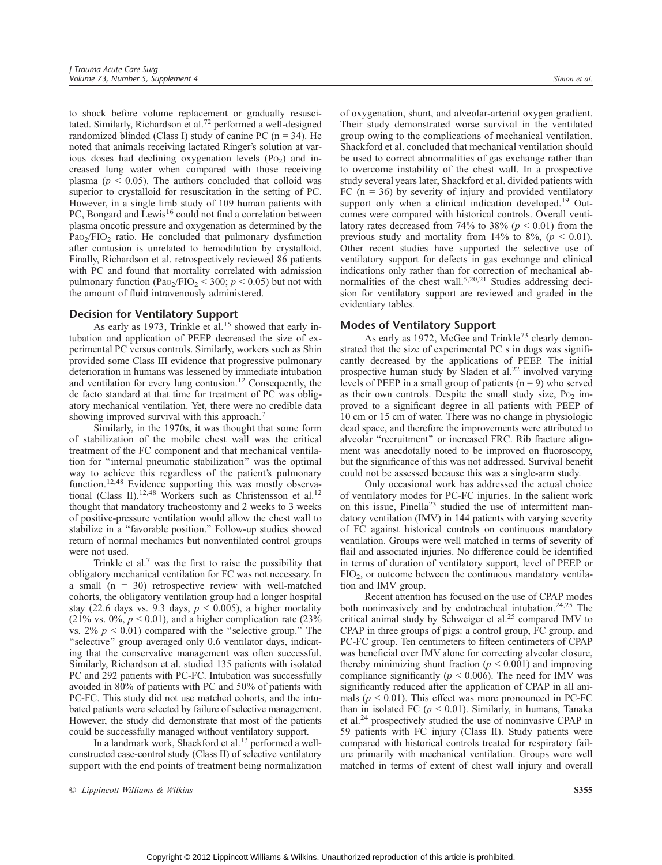to shock before volume replacement or gradually resuscitated. Similarly, Richardson et al.<sup>72</sup> performed a well-designed randomized blinded (Class I) study of canine PC ( $n = 34$ ). He noted that animals receiving lactated Ringer's solution at various doses had declining oxygenation levels  $(P<sub>O2</sub>)$  and increased lung water when compared with those receiving plasma ( $p < 0.05$ ). The authors concluded that colloid was superior to crystalloid for resuscitation in the setting of PC. However, in a single limb study of 109 human patients with PC, Bongard and Lewis<sup>16</sup> could not find a correlation between plasma oncotic pressure and oxygenation as determined by the  $PaO<sub>2</sub>/FIO<sub>2</sub>$  ratio. He concluded that pulmonary dysfunction after contusion is unrelated to hemodilution by crystalloid. Finally, Richardson et al. retrospectively reviewed 86 patients with PC and found that mortality correlated with admission pulmonary function (Pao<sub>2</sub>/FIO<sub>2</sub>  $\leq$  300;  $p$   $\leq$  0.05) but not with the amount of fluid intravenously administered.

## Decision for Ventilatory Support

As early as 1973, Trinkle et al.<sup>15</sup> showed that early intubation and application of PEEP decreased the size of experimental PC versus controls. Similarly, workers such as Shin provided some Class III evidence that progressive pulmonary deterioration in humans was lessened by immediate intubation and ventilation for every lung contusion.<sup>12</sup> Consequently, the de facto standard at that time for treatment of PC was obligatory mechanical ventilation. Yet, there were no credible data showing improved survival with this approach.<sup>7</sup>

Similarly, in the 1970s, it was thought that some form of stabilization of the mobile chest wall was the critical treatment of the FC component and that mechanical ventilation for ''internal pneumatic stabilization'' was the optimal way to achieve this regardless of the patient's pulmonary function.<sup>12,48</sup> Evidence supporting this was mostly observational (Class II).<sup>12,48</sup> Workers such as Christensson et al.<sup>12</sup> thought that mandatory tracheostomy and 2 weeks to 3 weeks of positive-pressure ventilation would allow the chest wall to stabilize in a ''favorable position.'' Follow-up studies showed return of normal mechanics but nonventilated control groups were not used.

Trinkle et al.<sup>7</sup> was the first to raise the possibility that obligatory mechanical ventilation for FC was not necessary. In a small  $(n = 30)$  retrospective review with well-matched cohorts, the obligatory ventilation group had a longer hospital stay (22.6 days vs. 9.3 days,  $p < 0.005$ ), a higher mortality (21% vs. 0%,  $p < 0.01$ ), and a higher complication rate (23%) vs.  $2\% p \leq 0.01$ ) compared with the "selective group." The "selective" group averaged only 0.6 ventilator days, indicating that the conservative management was often successful. Similarly, Richardson et al. studied 135 patients with isolated PC and 292 patients with PC-FC. Intubation was successfully avoided in 80% of patients with PC and 50% of patients with PC-FC. This study did not use matched cohorts, and the intubated patients were selected by failure of selective management. However, the study did demonstrate that most of the patients could be successfully managed without ventilatory support.

In a landmark work, Shackford et al.<sup>13</sup> performed a wellconstructed case-control study (Class II) of selective ventilatory support with the end points of treatment being normalization of oxygenation, shunt, and alveolar-arterial oxygen gradient. Their study demonstrated worse survival in the ventilated group owing to the complications of mechanical ventilation. Shackford et al. concluded that mechanical ventilation should be used to correct abnormalities of gas exchange rather than to overcome instability of the chest wall. In a prospective study several years later, Shackford et al. divided patients with FC ( $n = 36$ ) by severity of injury and provided ventilatory support only when a clinical indication developed.<sup>19</sup> Outcomes were compared with historical controls. Overall ventilatory rates decreased from 74% to 38% ( $p < 0.01$ ) from the previous study and mortality from 14% to 8%, ( $p < 0.01$ ). Other recent studies have supported the selective use of ventilatory support for defects in gas exchange and clinical indications only rather than for correction of mechanical abnormalities of the chest wall.<sup>5,20,21</sup> Studies addressing decision for ventilatory support are reviewed and graded in the evidentiary tables.

## Modes of Ventilatory Support

As early as 1972, McGee and Trinkle<sup>73</sup> clearly demonstrated that the size of experimental PC s in dogs was significantly decreased by the applications of PEEP. The initial prospective human study by Sladen et al.<sup>22</sup> involved varying levels of PEEP in a small group of patients  $(n = 9)$  who served as their own controls. Despite the small study size,  $P_{O_2}$  improved to a significant degree in all patients with PEEP of 10 cm or 15 cm of water. There was no change in physiologic dead space, and therefore the improvements were attributed to alveolar ''recruitment'' or increased FRC. Rib fracture alignment was anecdotally noted to be improved on fluoroscopy, but the significance of this was not addressed. Survival benefit could not be assessed because this was a single-arm study.

Only occasional work has addressed the actual choice of ventilatory modes for PC-FC injuries. In the salient work on this issue, Pinella<sup>23</sup> studied the use of intermittent mandatory ventilation (IMV) in 144 patients with varying severity of FC against historical controls on continuous mandatory ventilation. Groups were well matched in terms of severity of flail and associated injuries. No difference could be identified in terms of duration of ventilatory support, level of PEEP or FIO2, or outcome between the continuous mandatory ventilation and IMV group.

Recent attention has focused on the use of CPAP modes both noninvasively and by endotracheal intubation.<sup>24,25</sup> The critical animal study by Schweiger et al.<sup>25</sup> compared IMV to CPAP in three groups of pigs: a control group, FC group, and PC-FC group. Ten centimeters to fifteen centimeters of CPAP was beneficial over IMV alone for correcting alveolar closure, thereby minimizing shunt fraction ( $p \le 0.001$ ) and improving compliance significantly ( $p < 0.006$ ). The need for IMV was significantly reduced after the application of CPAP in all animals ( $p < 0.01$ ). This effect was more pronounced in PC-FC than in isolated FC ( $p < 0.01$ ). Similarly, in humans, Tanaka et al.24 prospectively studied the use of noninvasive CPAP in 59 patients with FC injury (Class II). Study patients were compared with historical controls treated for respiratory failure primarily with mechanical ventilation. Groups were well matched in terms of extent of chest wall injury and overall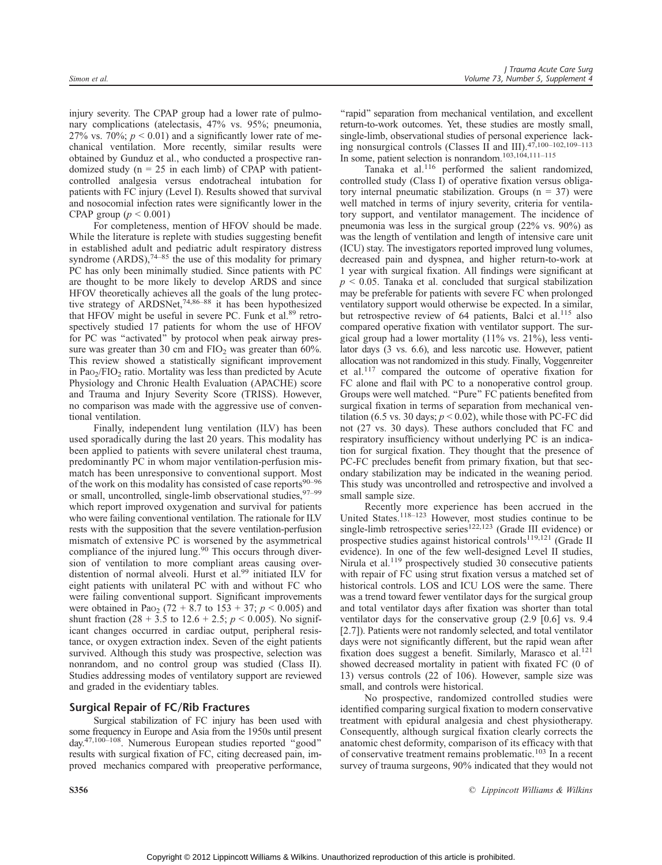injury severity. The CPAP group had a lower rate of pulmonary complications (atelectasis, 47% vs. 95%; pneumonia, 27% vs. 70%;  $p < 0.01$ ) and a significantly lower rate of mechanical ventilation. More recently, similar results were obtained by Gunduz et al., who conducted a prospective randomized study ( $n = 25$  in each limb) of CPAP with patientcontrolled analgesia versus endotracheal intubation for patients with FC injury (Level I). Results showed that survival and nosocomial infection rates were significantly lower in the CPAP group ( $p < 0.001$ )

For completeness, mention of HFOV should be made. While the literature is replete with studies suggesting benefit in established adult and pediatric adult respiratory distress syndrome  $(ARDS)$ ,  $^{74-85}$  the use of this modality for primary PC has only been minimally studied. Since patients with PC are thought to be more likely to develop ARDS and since HFOV theoretically achieves all the goals of the lung protective strategy of ARDSNet,<sup>74,86-88</sup> it has been hypothesized that HFOV might be useful in severe PC. Funk et al.<sup>89</sup> retrospectively studied 17 patients for whom the use of HFOV for PC was ''activated'' by protocol when peak airway pressure was greater than 30 cm and  $FIO<sub>2</sub>$  was greater than 60%. This review showed a statistically significant improvement in  $PaO<sub>2</sub>/FIO<sub>2</sub>$  ratio. Mortality was less than predicted by Acute Physiology and Chronic Health Evaluation (APACHE) score and Trauma and Injury Severity Score (TRISS). However, no comparison was made with the aggressive use of conventional ventilation.

Finally, independent lung ventilation (ILV) has been used sporadically during the last 20 years. This modality has been applied to patients with severe unilateral chest trauma, predominantly PC in whom major ventilation-perfusion mismatch has been unresponsive to conventional support. Most of the work on this modality has consisted of case reports<sup>90-96</sup> or small, uncontrolled, single-limb observational studies, 97-99 which report improved oxygenation and survival for patients who were failing conventional ventilation. The rationale for ILV rests with the supposition that the severe ventilation-perfusion mismatch of extensive PC is worsened by the asymmetrical compliance of the injured lung.<sup>90</sup> This occurs through diversion of ventilation to more compliant areas causing overdistention of normal alveoli. Hurst et al.<sup>99</sup> initiated ILV for eight patients with unilateral PC with and without FC who were failing conventional support. Significant improvements were obtained in Pa $_{2}$  (72 + 8.7 to 153 + 37;  $p < 0.005$ ) and shunt fraction  $(28 + 3.5 \text{ to } 12.6 + 2.5; p < 0.005)$ . No significant changes occurred in cardiac output, peripheral resistance, or oxygen extraction index. Seven of the eight patients survived. Although this study was prospective, selection was nonrandom, and no control group was studied (Class II). Studies addressing modes of ventilatory support are reviewed and graded in the evidentiary tables.

## Surgical Repair of FC/Rib Fractures

Surgical stabilization of FC injury has been used with some frequency in Europe and Asia from the 1950s until present day.<sup>47,100-108</sup>. Numerous European studies reported "good" results with surgical fixation of FC, citing decreased pain, improved mechanics compared with preoperative performance,

"rapid" separation from mechanical ventilation, and excellent return-to-work outcomes. Yet, these studies are mostly small, single-limb, observational studies of personal experience lacking nonsurgical controls (Classes II and III). $47,100-102,109-113$ In some, patient selection is nonrandom.<sup>103,104,111-115</sup>

Tanaka et al.<sup>116</sup> performed the salient randomized, controlled study (Class I) of operative fixation versus obligatory internal pneumatic stabilization. Groups  $(n = 37)$  were well matched in terms of injury severity, criteria for ventilatory support, and ventilator management. The incidence of pneumonia was less in the surgical group (22% vs. 90%) as was the length of ventilation and length of intensive care unit (ICU) stay. The investigators reported improved lung volumes, decreased pain and dyspnea, and higher return-to-work at 1 year with surgical fixation. All findings were significant at  $p \leq 0.05$ . Tanaka et al. concluded that surgical stabilization may be preferable for patients with severe FC when prolonged ventilatory support would otherwise be expected. In a similar, but retrospective review of 64 patients, Balci et al.<sup>115</sup> also compared operative fixation with ventilator support. The surgical group had a lower mortality (11% vs. 21%), less ventilator days (3 vs. 6.6), and less narcotic use. However, patient allocation was not randomized in this study. Finally, Voggenreiter et al. $^{117}$  compared the outcome of operative fixation for FC alone and flail with PC to a nonoperative control group. Groups were well matched. ''Pure'' FC patients benefited from surgical fixation in terms of separation from mechanical ventilation (6.5 vs. 30 days;  $p < 0.02$ ), while those with PC-FC did not (27 vs. 30 days). These authors concluded that FC and respiratory insufficiency without underlying PC is an indication for surgical fixation. They thought that the presence of PC-FC precludes benefit from primary fixation, but that secondary stabilization may be indicated in the weaning period. This study was uncontrolled and retrospective and involved a small sample size.

Recently more experience has been accrued in the United States.<sup>118-123</sup> However, most studies continue to be single-limb retrospective series<sup>122,123</sup> (Grade III evidence) or prospective studies against historical controls<sup>119,121</sup> (Grade II evidence). In one of the few well-designed Level II studies, Nirula et al.<sup>119</sup> prospectively studied 30 consecutive patients with repair of FC using strut fixation versus a matched set of historical controls. LOS and ICU LOS were the same. There was a trend toward fewer ventilator days for the surgical group and total ventilator days after fixation was shorter than total ventilator days for the conservative group (2.9 [0.6] vs. 9.4 [2.7]). Patients were not randomly selected, and total ventilator days were not significantly different, but the rapid wean after fixation does suggest a benefit. Similarly, Marasco et al.<sup>121</sup> showed decreased mortality in patient with fixated FC (0 of 13) versus controls (22 of 106). However, sample size was small, and controls were historical.

No prospective, randomized controlled studies were identified comparing surgical fixation to modern conservative treatment with epidural analgesia and chest physiotherapy. Consequently, although surgical fixation clearly corrects the anatomic chest deformity, comparison of its efficacy with that of conservative treatment remains problematic.<sup>103</sup> In a recent survey of trauma surgeons, 90% indicated that they would not

S356 **S356 S356 S356 S356 S356 S356 S356 Dependent Williams & Wilkins**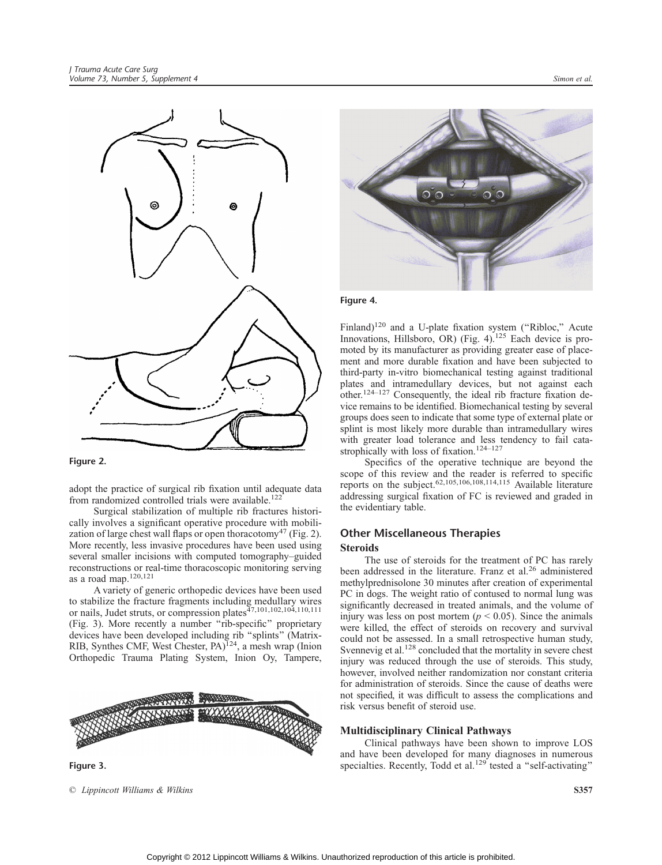

#### Figure 2.

adopt the practice of surgical rib fixation until adequate data from randomized controlled trials were available.<sup>122</sup>

Surgical stabilization of multiple rib fractures historically involves a significant operative procedure with mobilization of large chest wall flaps or open thoracotomy<sup>47</sup> (Fig. 2). More recently, less invasive procedures have been used using several smaller incisions with computed tomography-guided reconstructions or real-time thoracoscopic monitoring serving as a road map.120,121

A variety of generic orthopedic devices have been used to stabilize the fracture fragments including medullary wires or nails, Judet struts, or compression plates<sup>47,101,102,104,110,111</sup> (Fig. 3). More recently a number ''rib-specific'' proprietary devices have been developed including rib ''splints'' (Matrix-RIB, Synthes CMF, West Chester, PA)<sup>124</sup>, a mesh wrap (Inion Orthopedic Trauma Plating System, Inion Oy, Tampere,



Figure 3.

 $\odot$  Lippincott Williams & Wilkins S357



Figure 4.

Finland)<sup>120</sup> and a U-plate fixation system ("Ribloc," Acute Innovations, Hillsboro, OR) (Fig. 4).<sup>125</sup> Each device is promoted by its manufacturer as providing greater ease of placement and more durable fixation and have been subjected to third-party in-vitro biomechanical testing against traditional plates and intramedullary devices, but not against each other.<sup>124-127</sup> Consequently, the ideal rib fracture fixation device remains to be identified. Biomechanical testing by several groups does seen to indicate that some type of external plate or splint is most likely more durable than intramedullary wires with greater load tolerance and less tendency to fail catastrophically with loss of fixation.<sup>124-127</sup>

Specifics of the operative technique are beyond the scope of this review and the reader is referred to specific reports on the subject.<sup>62,105,106,108,114,115</sup> Available literature addressing surgical fixation of FC is reviewed and graded in the evidentiary table.

## Other Miscellaneous Therapies

## **Steroids**

The use of steroids for the treatment of PC has rarely been addressed in the literature. Franz et al.<sup>26</sup> administered methylprednisolone 30 minutes after creation of experimental PC in dogs. The weight ratio of contused to normal lung was significantly decreased in treated animals, and the volume of injury was less on post mortem ( $p < 0.05$ ). Since the animals were killed, the effect of steroids on recovery and survival could not be assessed. In a small retrospective human study, Svennevig et al.<sup>128</sup> concluded that the mortality in severe chest injury was reduced through the use of steroids. This study, however, involved neither randomization nor constant criteria for administration of steroids. Since the cause of deaths were not specified, it was difficult to assess the complications and risk versus benefit of steroid use.

## Multidisciplinary Clinical Pathways

Clinical pathways have been shown to improve LOS and have been developed for many diagnoses in numerous specialties. Recently, Todd et al.<sup>129</sup> tested a "self-activating"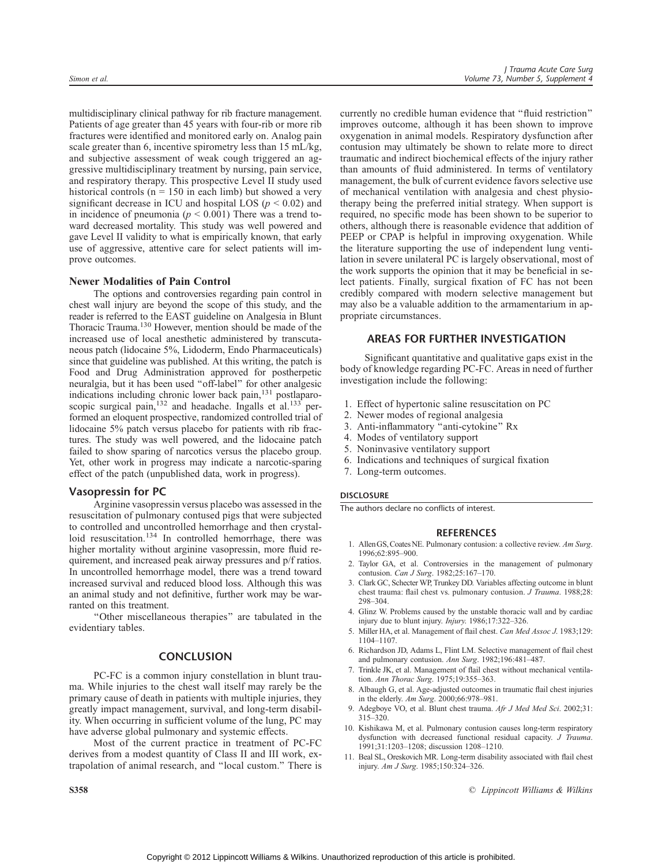multidisciplinary clinical pathway for rib fracture management. Patients of age greater than 45 years with four-rib or more rib fractures were identified and monitored early on. Analog pain scale greater than 6, incentive spirometry less than 15 mL/kg, and subjective assessment of weak cough triggered an aggressive multidisciplinary treatment by nursing, pain service, and respiratory therapy. This prospective Level II study used historical controls ( $n = 150$  in each limb) but showed a very significant decrease in ICU and hospital LOS ( $p < 0.02$ ) and in incidence of pneumonia ( $p < 0.001$ ) There was a trend toward decreased mortality. This study was well powered and gave Level II validity to what is empirically known, that early use of aggressive, attentive care for select patients will improve outcomes.

#### Newer Modalities of Pain Control

The options and controversies regarding pain control in chest wall injury are beyond the scope of this study, and the reader is referred to the EAST guideline on Analgesia in Blunt Thoracic Trauma.130 However, mention should be made of the increased use of local anesthetic administered by transcutaneous patch (lidocaine 5%, Lidoderm, Endo Pharmaceuticals) since that guideline was published. At this writing, the patch is Food and Drug Administration approved for postherpetic neuralgia, but it has been used ''off-label'' for other analgesic indications including chronic lower back pain,<sup>131</sup> postlaparoscopic surgical pain, $132$  and headache. Ingalls et al. $133$  performed an eloquent prospective, randomized controlled trial of lidocaine 5% patch versus placebo for patients with rib fractures. The study was well powered, and the lidocaine patch failed to show sparing of narcotics versus the placebo group. Yet, other work in progress may indicate a narcotic-sparing effect of the patch (unpublished data, work in progress).

#### Vasopressin for PC

Arginine vasopressin versus placebo was assessed in the resuscitation of pulmonary contused pigs that were subjected to controlled and uncontrolled hemorrhage and then crystalloid resuscitation.<sup>134</sup> In controlled hemorrhage, there was higher mortality without arginine vasopressin, more fluid requirement, and increased peak airway pressures and p/f ratios. In uncontrolled hemorrhage model, there was a trend toward increased survival and reduced blood loss. Although this was an animal study and not definitive, further work may be warranted on this treatment.

''Other miscellaneous therapies'' are tabulated in the evidentiary tables.

### **CONCLUSION**

PC-FC is a common injury constellation in blunt trauma. While injuries to the chest wall itself may rarely be the primary cause of death in patients with multiple injuries, they greatly impact management, survival, and long-term disability. When occurring in sufficient volume of the lung, PC may have adverse global pulmonary and systemic effects.

Most of the current practice in treatment of PC-FC derives from a modest quantity of Class II and III work, extrapolation of animal research, and ''local custom.'' There is currently no credible human evidence that ''fluid restriction'' improves outcome, although it has been shown to improve oxygenation in animal models. Respiratory dysfunction after contusion may ultimately be shown to relate more to direct traumatic and indirect biochemical effects of the injury rather than amounts of fluid administered. In terms of ventilatory management, the bulk of current evidence favors selective use of mechanical ventilation with analgesia and chest physiotherapy being the preferred initial strategy. When support is required, no specific mode has been shown to be superior to others, although there is reasonable evidence that addition of PEEP or CPAP is helpful in improving oxygenation. While the literature supporting the use of independent lung ventilation in severe unilateral PC is largely observational, most of the work supports the opinion that it may be beneficial in select patients. Finally, surgical fixation of FC has not been credibly compared with modern selective management but may also be a valuable addition to the armamentarium in appropriate circumstances.

## AREAS FOR FURTHER INVESTIGATION

Significant quantitative and qualitative gaps exist in the body of knowledge regarding PC-FC. Areas in need of further investigation include the following:

- 1. Effect of hypertonic saline resuscitation on PC
- 2. Newer modes of regional analgesia
- 3. Anti-inflammatory ''anti-cytokine'' Rx
- 4. Modes of ventilatory support
- 5. Noninvasive ventilatory support
- 6. Indications and techniques of surgical fixation
- 7. Long-term outcomes.

#### **DISCLOSURE**

The authors declare no conflicts of interest.

#### **REFERENCES**

- 1. Allen GS, Coates NE. Pulmonary contusion: a collective review. Am Surg. 1996;62:895-900.
- 2. Taylor GA, et al. Controversies in the management of pulmonary contusion. Can J Surg. 1982;25:167-170.
- 3. Clark GC, Schecter WP, Trunkey DD. Variables affecting outcome in blunt chest trauma: flail chest vs. pulmonary contusion. J Trauma. 1988;28: 298-304
- 4. Glinz W. Problems caused by the unstable thoracic wall and by cardiac injury due to blunt injury.  $Injury.$  1986;17:322-326.
- Miller HA, et al. Management of flail chest. Can Med Assoc J. 1983;129: 1104-1107.
- 6. Richardson JD, Adams L, Flint LM. Selective management of flail chest and pulmonary contusion. Ann Surg. 1982;196:481-487.
- 7. Trinkle JK, et al. Management of flail chest without mechanical ventilation. Ann Thorac Surg. 1975;19:355-363.
- 8. Albaugh G, et al. Age-adjusted outcomes in traumatic flail chest injuries in the elderly.  $Am$  Surg. 2000;66:978-981.
- 9. Adegboye VO, et al. Blunt chest trauma. Afr J Med Med Sci. 2002;31: 315-320.
- 10. Kishikawa M, et al. Pulmonary contusion causes long-term respiratory dysfunction with decreased functional residual capacity. J Trauma. 1991;31:1203-1208; discussion 1208-1210.
- 11. Beal SL, Oreskovich MR. Long-term disability associated with flail chest injury. Am J Surg. 1985;150:324-326.

S358 **S358 S358 S358 S358 S358 S358 S358 Designation System C** *Lippincott Williams & Wilkins* **C** *Lippincott Williams & Wilkins*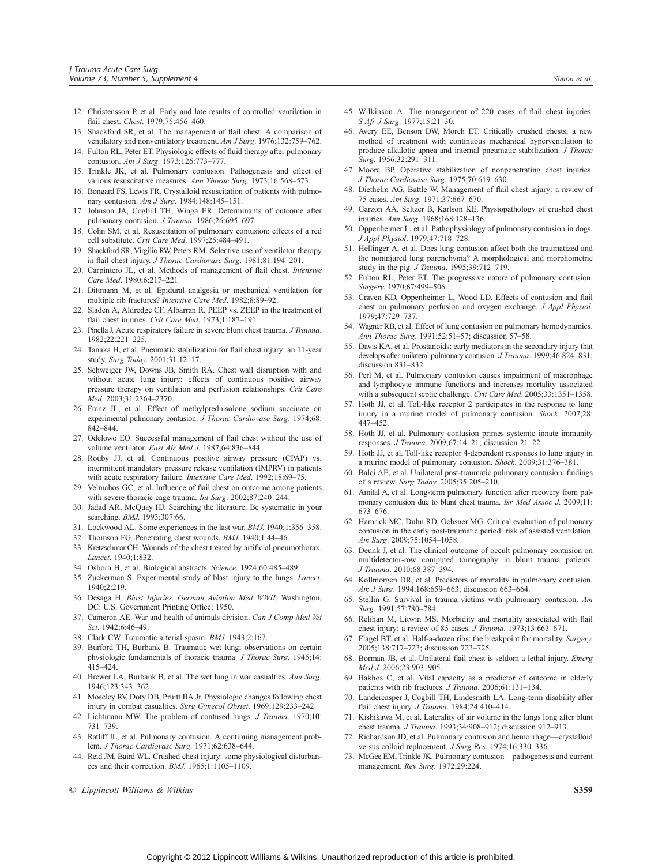- 12. Christensson P, et al. Early and late results of controlled ventilation in flail chest. Chest. 1979;75:456-460.
- 13. Shackford SR, et al. The management of flail chest. A comparison of ventilatory and nonventilatory treatment. Am J Surg. 1976;132:759-762.
- 14. Fulton RL, Peter ET. Physiologic effects of fluid therapy after pulmonary contusion. Am J Surg. 1973;126:773-777.
- 15. Trinkle JK, et al. Pulmonary contusion. Pathogenesis and effect of various resuscitative measures. Ann Thorac Surg. 1973;16:568-573.
- 16. Bongard FS, Lewis FR. Crystalloid resuscitation of patients with pulmonary contusion. Am J Surg. 1984;148:145-151.
- 17. Johnson JA, Cogbill TH, Winga ER. Determinants of outcome after pulmonary contusion. J Trauma. 1986;26:695-697.
- 18. Cohn SM, et al. Resuscitation of pulmonary contusion: effects of a red cell substitute. Crit Care Med. 1997;25:484-491.
- 19. Shackford SR, Virgilio RW, Peters RM. Selective use of ventilator therapy in flail chest injury. J Thorac Cardiovasc Surg. 1981;81:194-201.
- 20. Carpintero JL, et al. Methods of management of flail chest. Intensive Care Med. 1980;6:217-221.
- 21. Dittmann M, et al. Epidural analgesia or mechanical ventilation for multiple rib fractures? Intensive Care Med. 1982;8:89-92.
- 22. Sladen A, Aldredge CF, Albarran R. PEEP vs. ZEEP in the treatment of flail chest injuries. Crit Care Med. 1973;1:187-191.
- 23. Pinella J. Acute respiratory failure in severe blunt chest trauma. J Trauma. 1982:22:221-225
- 24. Tanaka H, et al. Pneumatic stabilization for flail chest injury: an 11-year study. Surg Today. 2001;31:12-17.
- 25. Schweiger JW, Downs JB, Smith RA. Chest wall disruption with and without acute lung injury: effects of continuous positive airway pressure therapy on ventilation and perfusion relationships. Crit Care Med. 2003;31:2364–2370.
- 26. Franz JL, et al. Effect of methylprednisolone sodium succinate on experimental pulmonary contusion. J Thorac Cardiovasc Surg. 1974;68: 842-844.
- 27. Odelowo EO. Successful management of flail chest without the use of volume ventilator. East Afr Med J. 1987;64:836-844.
- 28. Rouby JJ, et al. Continuous positive airway pressure (CPAP) vs. intermittent mandatory pressure release ventilation (IMPRV) in patients with acute respiratory failure. Intensive Care Med. 1992;18:69-75.
- 29. Velmahos GC, et al. Influence of flail chest on outcome among patients with severe thoracic cage trauma. Int Surg. 2002;87:240-244.
- 30. Jadad AR, McQuay HJ. Searching the literature. Be systematic in your searching. BMJ. 1993;307:66.
- 31. Lockwood AL. Some experiences in the last war. BMJ. 1940;1:356-358.
- 32. Thomson FG. Penetrating chest wounds. BMJ. 1940;1:44-46.
- 33. Kretzschmar CH. Wounds of the chest treated by artificial pneumothorax. Lancet. 1940;1:832.
- 34. Osborn H, et al. Biological abstracts. Science. 1924;60:485-489.
- 35. Zuckerman S. Experimental study of blast injury to the lungs. Lancet. 1940;2:219.
- 36. Desaga H. Blast Injuries. German Aviation Med WWII. Washington, DC: U.S. Government Printing Office; 1950.
- 37. Cameron AE. War and health of animals division. Can J Comp Med Vet Sci. 1942;6:46-49.
- 38. Clark CW. Traumatic arterial spasm. BMJ. 1943;2:167.
- 39. Burford TH, Burbank B. Traumatic wet lung; observations on certain physiologic fundamentals of thoracic trauma. J Thorac Surg. 1945;14: 415-424.
- 40. Brewer LA, Burbank B, et al. The wet lung in war casualties. Ann Surg. 1946:123:343-362.
- 41. Moseley RV, Doty DB, Pruitt BA Jr. Physiologic changes following chest injury in combat casualties. Surg Gynecol Obstet. 1969;129:233-242.
- 42. Lichtmann MW. The problem of contused lungs. J Trauma. 1970;10: 731-739.
- 43. Ratliff JL, et al. Pulmonary contusion. A continuing management problem. J Thorac Cardiovasc Surg. 1971;62:638-644.
- 44. Reid JM, Baird WL. Crushed chest injury: some physiological disturbances and their correction. BMJ. 1965;1:1105-1109.
- 
- 45. Wilkinson A. The management of 220 cases of flail chest injuries.  $S$  Afr J Surg. 1977;15:21-30.
- 46. Avery EE, Benson DW, Morch ET. Critically crushed chests; a new method of treatment with continuous mechanical hyperventilation to produce alkalotic apnea and internal pneumatic stabilization. J Thorac Surg. 1956;32:291-311.
- 47. Moore BP. Operative stabilization of nonpenetrating chest injuries. J Thorac Cardiovasc Surg. 1975;70:619-630.
- 48. Diethelm AG, Battle W. Management of flail chest injury: a review of 75 cases. Am Surg. 1971;37:667-670.
- 49. Garzon AA, Seltzer B, Karlson KE. Physiopathology of crushed chest injuries. Ann Surg. 1968;168:128-136.
- 50. Oppenheimer L, et al. Pathophysiology of pulmonary contusion in dogs. J Appl Physiol. 1979;47:718-728.
- 51. Hellinger A, et al. Does lung contusion affect both the traumatized and the noninjured lung parenchyma? A morphological and morphometric study in the pig. J Trauma. 1995;39:712-719.
- 52. Fulton RL, Peter ET. The progressive nature of pulmonary contusion. Surgery. 1970;67:499-506.
- 53. Craven KD, Oppenheimer L, Wood LD. Effects of contusion and flail chest on pulmonary perfusion and oxygen exchange. J Appl Physiol. 1979;47:729-737
- 54. Wagner RB, et al. Effect of lung contusion on pulmonary hemodynamics. Ann Thorac Surg. 1991;52:51-57; discussion 57-58.
- 55. Davis KA, et al. Prostanoids: early mediators in the secondary injury that develops after unilateral pulmonary contusion. J Trauma. 1999;46:824-831; discussion  $831-832$ .
- 56. Perl M, et al. Pulmonary contusion causes impairment of macrophage and lymphocyte immune functions and increases mortality associated with a subsequent septic challenge. Crit Care Med. 2005;33:1351-1358.
- 57. Hoth JJ, et al. Toll-like receptor 2 participates in the response to lung injury in a murine model of pulmonary contusion. Shock. 2007;28: 447-452.
- 58. Hoth JJ, et al. Pulmonary contusion primes systemic innate immunity responses. J Trauma. 2009;67:14-21; discussion 21-22.
- 59. Hoth JJ, et al. Toll-like receptor 4-dependent responses to lung injury in a murine model of pulmonary contusion. Shock. 2009;31:376-381.
- 60. Balci AE, et al. Unilateral post-traumatic pulmonary contusion: findings of a review. Surg Today. 2005;35:205-210.
- 61. Amital A, et al. Long-term pulmonary function after recovery from pulmonary contusion due to blunt chest trauma. Isr Med Assoc J. 2009;11: 673-676
- 62. Hamrick MC, Duhn RD, Ochsner MG. Critical evaluation of pulmonary contusion in the early post-traumatic period: risk of assisted ventilation. Am Surg. 2009;75:1054-1058.
- 63. Deunk J, et al. The clinical outcome of occult pulmonary contusion on multidetector-row computed tomography in blunt trauma patients. J Trauma. 2010;68:387-394.
- 64. Kollmorgen DR, et al. Predictors of mortality in pulmonary contusion. Am J Surg. 1994;168:659-663; discussion 663-664.
- 65. Stellin G. Survival in trauma victims with pulmonary contusion. Am Surg. 1991;57:780-784.
- 66. Relihan M, Litwin MS. Morbidity and mortality associated with flail chest injury: a review of 85 cases. J Trauma. 1973;13:663-671.
- 67. Flagel BT, et al. Half-a-dozen ribs: the breakpoint for mortality. Surgery. 2005;138:717-723; discussion 723-725.
- 68. Borman JB, et al. Unilateral flail chest is seldom a lethal injury. Emerg Med J. 2006;23:903-905.
- 69. Bakhos C, et al. Vital capacity as a predictor of outcome in elderly patients with rib fractures. J Trauma. 2006;61:131-134.
- 70. Landercasper J, Cogbill TH, Lindesmith LA. Long-term disability after flail chest injury. *J Trauma*.  $1984:24:410-414$ .
- 71. Kishikawa M, et al. Laterality of air volume in the lungs long after blunt chest trauma. J Trauma. 1993;34:908-912; discussion 912-913.
- 72. Richardson JD, et al. Pulmonary contusion and hemorrhage-crystalloid versus colloid replacement. J Surg Res. 1974;16:330-336.
- 73. McGee EM, Trinkle JK. Pulmonary contusion-pathogenesis and current management. Rev Surg. 1972;29:224.
- $\degree$  Lippincott Williams & Wilkins S359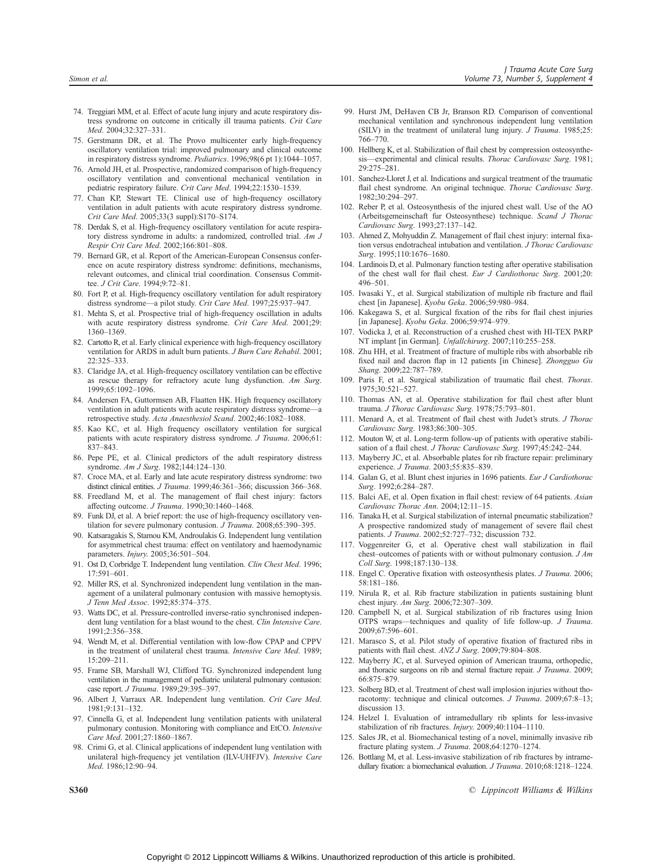- 74. Treggiari MM, et al. Effect of acute lung injury and acute respiratory distress syndrome on outcome in critically ill trauma patients. Crit Care Med. 2004:32:327-331.
- 75. Gerstmann DR, et al. The Provo multicenter early high-frequency oscillatory ventilation trial: improved pulmonary and clinical outcome in respiratory distress syndrome. Pediatrics.  $1996:98(6 \text{ pt } 1)$ : 1044-1057.
- 76. Arnold JH, et al. Prospective, randomized comparison of high-frequency oscillatory ventilation and conventional mechanical ventilation in pediatric respiratory failure. Crit Care Med. 1994;22:1530-1539.
- 77. Chan KP, Stewart TE. Clinical use of high-frequency oscillatory ventilation in adult patients with acute respiratory distress syndrome. Crit Care Med. 2005;33(3 suppl):S170-S174.
- 78. Derdak S, et al. High-frequency oscillatory ventilation for acute respiratory distress syndrome in adults: a randomized, controlled trial. Am J Respir Crit Care Med. 2002;166:801-808.
- 79. Bernard GR, et al. Report of the American-European Consensus conference on acute respiratory distress syndrome: definitions, mechanisms, relevant outcomes, and clinical trial coordination. Consensus Committee. J Crit Care. 1994;9:72-81.
- 80. Fort P, et al. High-frequency oscillatory ventilation for adult respiratory distress syndrome-a pilot study. Crit Care Med. 1997;25:937-947.
- 81. Mehta S, et al. Prospective trial of high-frequency oscillation in adults with acute respiratory distress syndrome. Crit Care Med. 2001;29: 1360-1369.
- 82. Cartotto R, et al. Early clinical experience with high-frequency oscillatory ventilation for ARDS in adult burn patients. *J Burn Care Rehabil*. 2001; 22:325-333.
- 83. Claridge JA, et al. High-frequency oscillatory ventilation can be effective as rescue therapy for refractory acute lung dysfunction. Am Surg. 1999:65:1092-1096.
- 84. Andersen FA, Guttormsen AB, Flaatten HK. High frequency oscillatory ventilation in adult patients with acute respiratory distress syndromeretrospective study. Acta Anaesthesiol Scand. 2002;46:1082-1088.
- 85. Kao KC, et al. High frequency oscillatory ventilation for surgical patients with acute respiratory distress syndrome. J Trauma. 2006;61: 837-843.
- 86. Pepe PE, et al. Clinical predictors of the adult respiratory distress syndrome. Am J Surg. 1982;144:124-130.
- 87. Croce MA, et al. Early and late acute respiratory distress syndrome: two distinct clinical entities. J Trauma. 1999;46:361-366; discussion 366-368.
- 88. Freedland M, et al. The management of flail chest injury: factors affecting outcome. J Trauma. 1990;30:1460-1468.
- 89. Funk DJ, et al. A brief report: the use of high-frequency oscillatory ventilation for severe pulmonary contusion. *J Trauma*.  $2008:65:390-395$ .
- 90. Katsaragakis S, Stamou KM, Androulakis G. Independent lung ventilation for asymmetrical chest trauma: effect on ventilatory and haemodynamic parameters. Injury. 2005;36:501-504.
- 91. Ost D, Corbridge T. Independent lung ventilation. Clin Chest Med. 1996; 17:591-601.
- 92. Miller RS, et al. Synchronized independent lung ventilation in the management of a unilateral pulmonary contusion with massive hemoptysis. J Tenn Med Assoc. 1992;85:374-375.
- 93. Watts DC, et al. Pressure-controlled inverse-ratio synchronised independent lung ventilation for a blast wound to the chest. Clin Intensive Care. 1991;2:356-358.
- 94. Wendt M, et al. Differential ventilation with low-flow CPAP and CPPV in the treatment of unilateral chest trauma. Intensive Care Med. 1989; 15:209-211.
- 95. Frame SB, Marshall WJ, Clifford TG. Synchronized independent lung ventilation in the management of pediatric unilateral pulmonary contusion: case report. J Trauma. 1989;29:395-397.
- 96. Albert J, Varraux AR. Independent lung ventilation. Crit Care Med. 1981;9:131-132.
- 97. Cinnella G, et al. Independent lung ventilation patients with unilateral pulmonary contusion. Monitoring with compliance and EtCO. Intensive Care Med. 2001;27:1860-1867.
- 98. Crimi G, et al. Clinical applications of independent lung ventilation with unilateral high-frequency jet ventilation (ILV-UHFJV). Intensive Care Med. 1986;12:90-94.
- 99. Hurst JM, DeHaven CB Jr, Branson RD. Comparison of conventional mechanical ventilation and synchronous independent lung ventilation (SILV) in the treatment of unilateral lung injury. J Trauma. 1985;25: 766-770
- 100. Hellberg K, et al. Stabilization of flail chest by compression osteosynthesis—experimental and clinical results. *Thorac Cardiovasc Surg.* 1981;  $29.275 - 281$
- 101. Sanchez-Lloret J, et al. Indications and surgical treatment of the traumatic flail chest syndrome. An original technique. Thorac Cardiovasc Surg. 1982:30:294-297.
- 102. Reber P, et al. Osteosynthesis of the injured chest wall. Use of the AO (Arbeitsgemeinschaft fur Osteosynthese) technique. Scand J Thorac Cardiovasc Surg. 1993;27:137-142.
- 103. Ahmed Z, Mohyuddin Z. Management of flail chest injury: internal fixation versus endotracheal intubation and ventilation. J Thorac Cardiovasc Surg. 1995:110:1676-1680.
- 104. Lardinois D, et al. Pulmonary function testing after operative stabilisation of the chest wall for flail chest. Eur J Cardiothorac Surg. 2001;20: 496-501.
- 105. Iwasaki Y., et al. Surgical stabilization of multiple rib fracture and flail chest [in Japanese].  $Kyobu$  Geka. 2006;59:980-984.
- 106. Kakegawa S, et al. Surgical fixation of the ribs for flail chest injuries [in Japanese]. Kyobu Geka. 2006;59:974-979.
- 107. Vodicka J, et al. Reconstruction of a crushed chest with HI-TEX PARP NT implant [in German]. Unfallchirurg. 2007;110:255-258.
- 108. Zhu HH, et al. Treatment of fracture of multiple ribs with absorbable rib fixed nail and dacron flap in 12 patients [in Chinese]. Zhongguo Gu Shang. 2009;22:787-789.
- 109. Paris F, et al. Surgical stabilization of traumatic flail chest. Thorax. 1975;30:521-527.
- 110. Thomas AN, et al. Operative stabilization for flail chest after blunt trauma. J Thorac Cardiovasc Surg. 1978;75:793-801.
- 111. Menard A, et al. Treatment of flail chest with Judet's struts. J Thorac Cardiovasc Surg. 1983;86:300-305.
- 112. Mouton W, et al. Long-term follow-up of patients with operative stabilisation of a flail chest. J Thorac Cardiovasc Surg. 1997;45:242-244.
- 113. Mayberry JC, et al. Absorbable plates for rib fracture repair: preliminary experience. J Trauma. 2003;55:835-839.
- 114. Galan G, et al. Blunt chest injuries in 1696 patients. Eur J Cardiothorac Surg. 1992:6:284-287.
- 115. Balci AE, et al. Open fixation in flail chest: review of 64 patients. Asian Cardiovasc Thorac Ann. 2004;12:11-15.
- 116. Tanaka H, et al. Surgical stabilization of internal pneumatic stabilization? A prospective randomized study of management of severe flail chest patients. J Trauma. 2002;52:727-732; discussion 732.
- 117. Voggenreiter G, et al. Operative chest wall stabilization in flail chest–outcomes of patients with or without pulmonary contusion.  $JAm$ Coll Surg. 1998;187:130-138.
- 118. Engel C. Operative fixation with osteosynthesis plates. J Trauma. 2006;  $58:181-186.$
- 119. Nirula R, et al. Rib fracture stabilization in patients sustaining blunt chest injury. Am Surg. 2006;72:307-309.
- 120. Campbell N, et al. Surgical stabilization of rib fractures using Inion OTPS wraps—techniques and quality of life follow-up. J Trauma. 2009;67:596-601.
- 121. Marasco S, et al. Pilot study of operative fixation of fractured ribs in patients with flail chest. ANZ J Surg. 2009;79:804-808.
- 122. Mayberry JC, et al. Surveyed opinion of American trauma, orthopedic, and thoracic surgeons on rib and sternal fracture repair. J Trauma. 2009; 66:875-879.
- 123. Solberg BD, et al. Treatment of chest wall implosion injuries without thoracotomy: technique and clinical outcomes. J Trauma. 2009;67:8-13; discussion 13.
- 124. Helzel I. Evaluation of intramedullary rib splints for less-invasive stabilization of rib fractures. *Injury.*  $2009;40:1104-1110$ .
- 125. Sales JR, et al. Biomechanical testing of a novel, minimally invasive rib fracture plating system. J Trauma. 2008;64:1270-1274.
- 126. Bottlang M, et al. Less-invasive stabilization of rib fractures by intramedullary fixation: a biomechanical evaluation. J Trauma. 2010;68:1218-1224.

S360 **S360 S360 S360 S360 C** Lippincott Williams & Wilkins